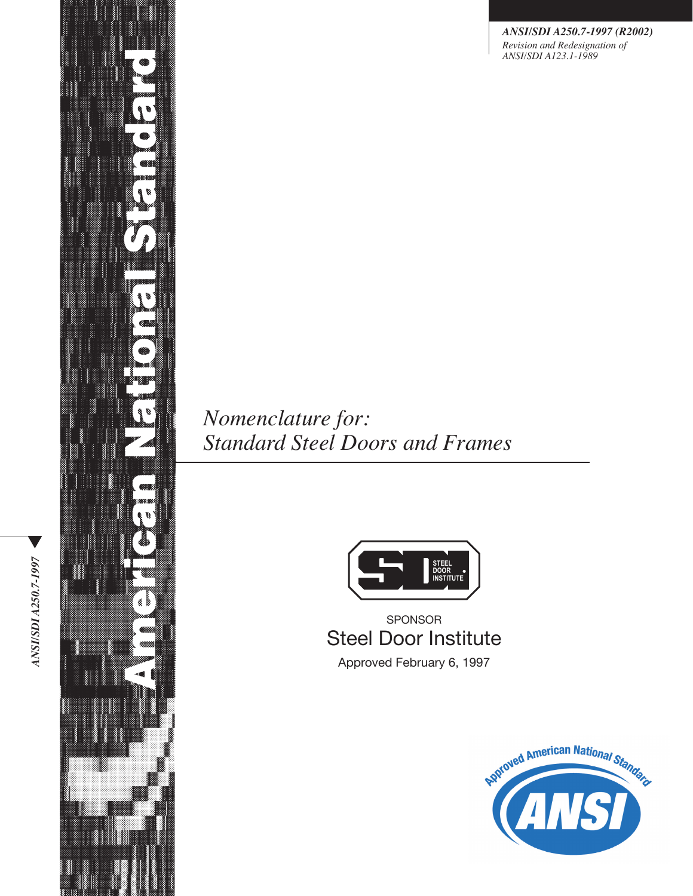*ANSI/SDI A250.7-1997 (R2002) Revision and Redesignation of ANSI/SDI A123.1-1989*

*Nomenclature for: Standard Steel Doors and Frames*



SPONSOR Steel Door Institute Approved February 6, 1997



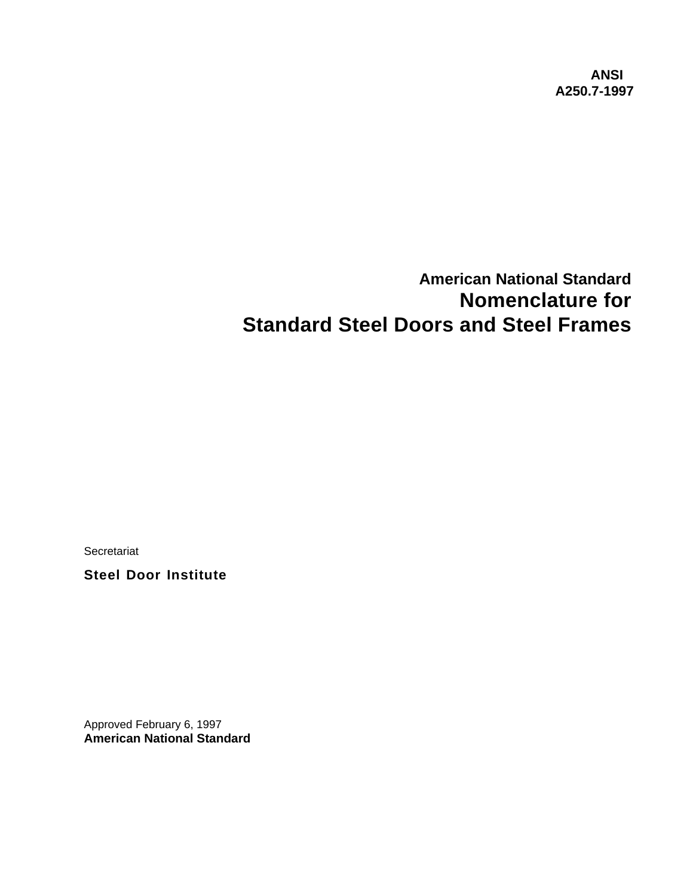**ANSI A250.7-1997**

# **American National Standard Nomenclature for Standard Steel Doors and Steel Frames**

**Secretariat** 

**Steel Door Institute**

Approved February 6, 1997 **American National Standard**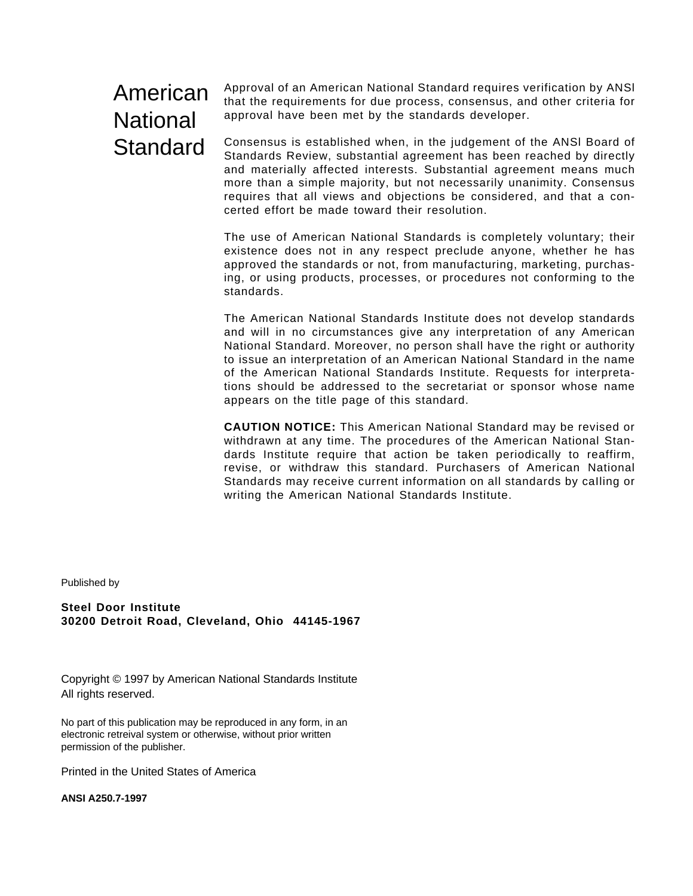# American **National** Standard

Approval of an American National Standard requires verification by ANSl that the requirements for due process, consensus, and other criteria for approval have been met by the standards developer.

Consensus is established when, in the judgement of the ANSl Board of Standards Review, substantial agreement has been reached by directly and materially affected interests. Substantial agreement means much more than a simple majority, but not necessarily unanimity. Consensus requires that all views and objections be considered, and that a concerted effort be made toward their resolution.

The use of American National Standards is completely voluntary; their existence does not in any respect preclude anyone, whether he has approved the standards or not, from manufacturing, marketing, purchasing, or using products, processes, or procedures not conforming to the standards.

The American National Standards Institute does not develop standards and will in no circumstances give any interpretation of any American National Standard. Moreover, no person shall have the right or authority to issue an interpretation of an American National Standard in the name of the American National Standards Institute. Requests for interpretations should be addressed to the secretariat or sponsor whose name appears on the title page of this standard.

**CAUTION NOTICE:** This American National Standard may be revised or withdrawn at any time. The procedures of the American National Standards Institute require that action be taken periodically to reaffirm, revise, or withdraw this standard. Purchasers of American National Standards may receive current information on all standards by caIling or writing the American National Standards Institute.

Published by

**Steel Door Institute 30200 Detroit Road, Cleveland, Ohio 44145-1967**

Copyright © 1997 by American National Standards Institute All rights reserved.

No part of this publication may be reproduced in any form, in an electronic retreival system or otherwise, without prior written permission of the publisher.

Printed in the United States of America

**ANSI A250.7-1997**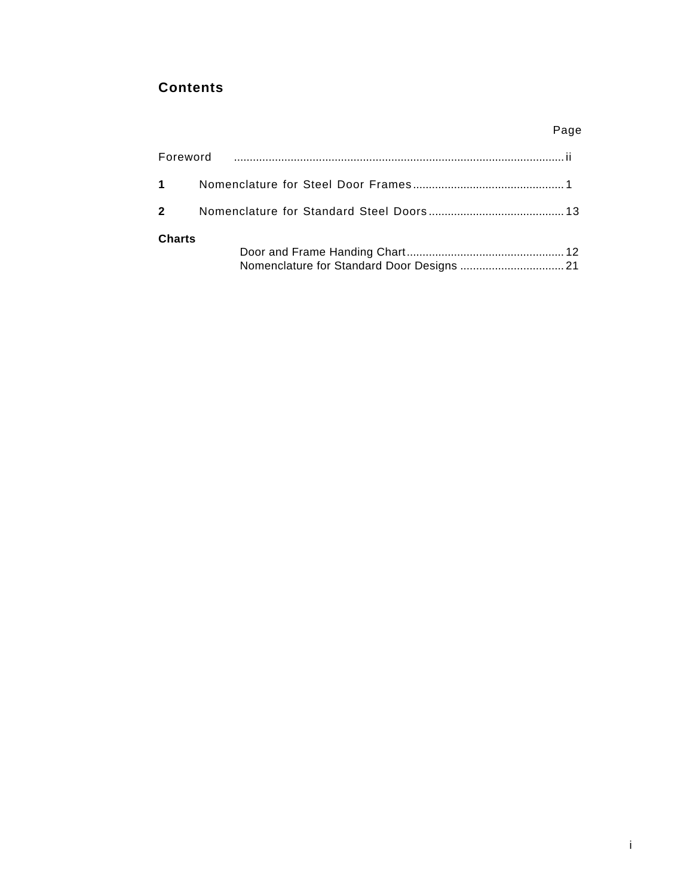# **Contents**

|                        | Page |
|------------------------|------|
|                        |      |
| $1 \quad \blacksquare$ |      |
| $2 \sqrt{2}$           |      |
| <b>Charts</b>          |      |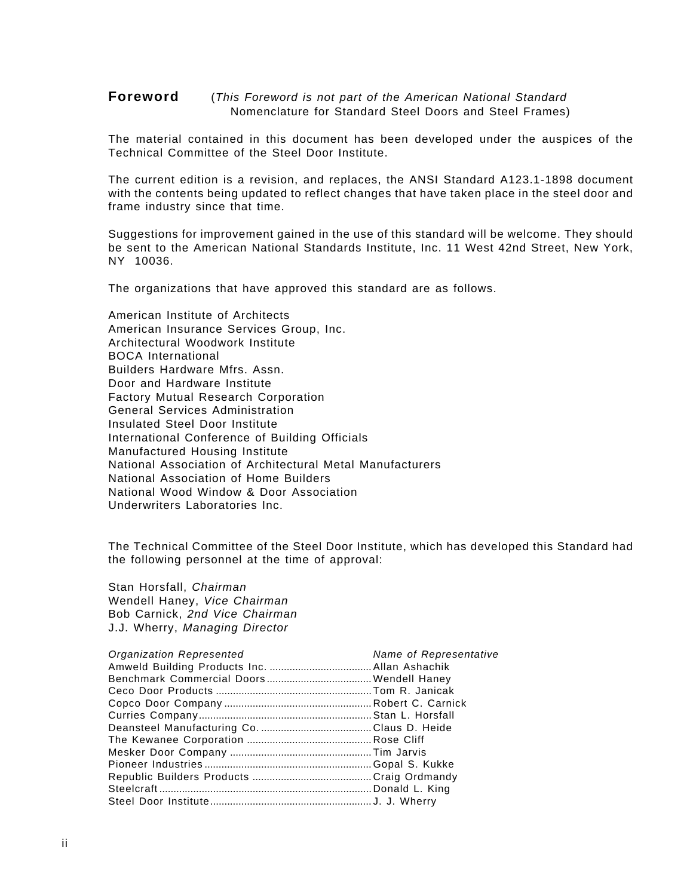#### <span id="page-4-0"></span>**Foreword** (This Foreword is not part of the American National Standard Nomenclature for Standard Steel Doors and Steel Frames)

The material contained in this document has been developed under the auspices of the Technical Committee of the Steel Door Institute.

The current edition is a revision, and replaces, the ANSI Standard A123.1-1898 document with the contents being updated to reflect changes that have taken place in the steel door and frame industry since that time.

Suggestions for improvement gained in the use of this standard will be welcome. They should be sent to the American National Standards Institute, Inc. 11 West 42nd Street, New York, NY 10036.

The organizations that have approved this standard are as follows.

American Institute of Architects American Insurance Services Group, Inc. Architectural Woodwork Institute BOCA International Builders Hardware Mfrs. Assn. Door and Hardware Institute Factory Mutual Research Corporation General Services Administration Insulated Steel Door Institute International Conference of Building Officials Manufactured Housing Institute National Association of Architectural Metal Manufacturers National Association of Home Builders National Wood Window & Door Association Underwriters Laboratories Inc.

The Technical Committee of the Steel Door Institute, which has developed this Standard had the following personnel at the time of approval:

Stan Horsfall, Chairman Wendell Haney, Vice Chairman Bob Carnick, 2nd Vice Chairman J.J. Wherry, Managing Director

| <b>Organization Represented</b> | Name of Representative |
|---------------------------------|------------------------|
|                                 |                        |
|                                 |                        |
|                                 |                        |
|                                 |                        |
|                                 |                        |
|                                 |                        |
|                                 |                        |
|                                 |                        |
|                                 |                        |
|                                 |                        |
|                                 |                        |
|                                 |                        |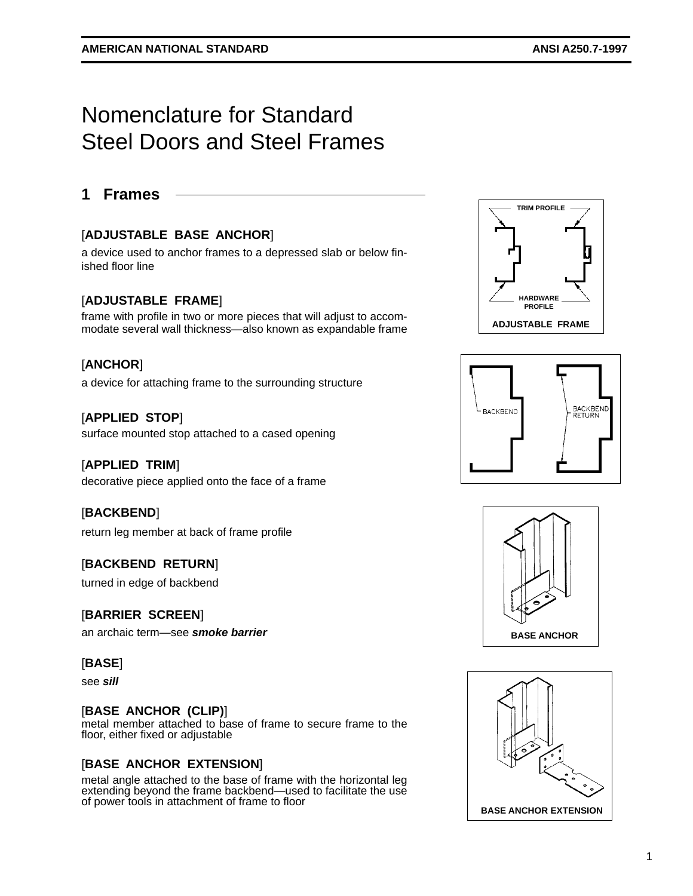# <span id="page-5-0"></span>Nomenclature for Standard Steel Doors and Steel Frames

## **1 Frames**

## [**ADJUSTABLE BASE ANCHOR**]

a device used to anchor frames to a depressed slab or below finished floor line

#### [**ADJUSTABLE FRAME**]

frame with profile in two or more pieces that will adjust to accommodate several wall thickness—also known as expandable frame

## [**ANCHOR**]

a device for attaching frame to the surrounding structure

#### [**APPLIED STOP**]

surface mounted stop attached to a cased opening

#### [**APPLIED TRIM**]

decorative piece applied onto the face of a frame

#### [**BACKBEND**]

return leg member at back of frame profile

#### [**BACKBEND RETURN**]

turned in edge of backbend

#### [**BARRIER SCREEN**]

an archaic term—see **smoke barrier**

#### [**BASE**]

see **sill**

#### [**BASE ANCHOR (CLIP)**]

metal member attached to base of frame to secure frame to the floor, either fixed or adjustable

#### [**BASE ANCHOR EXTENSION**]

metal angle attached to the base of frame with the horizontal leg extending beyond the frame backbend—used to facilitate the use of power tools in attachment of frame to floor







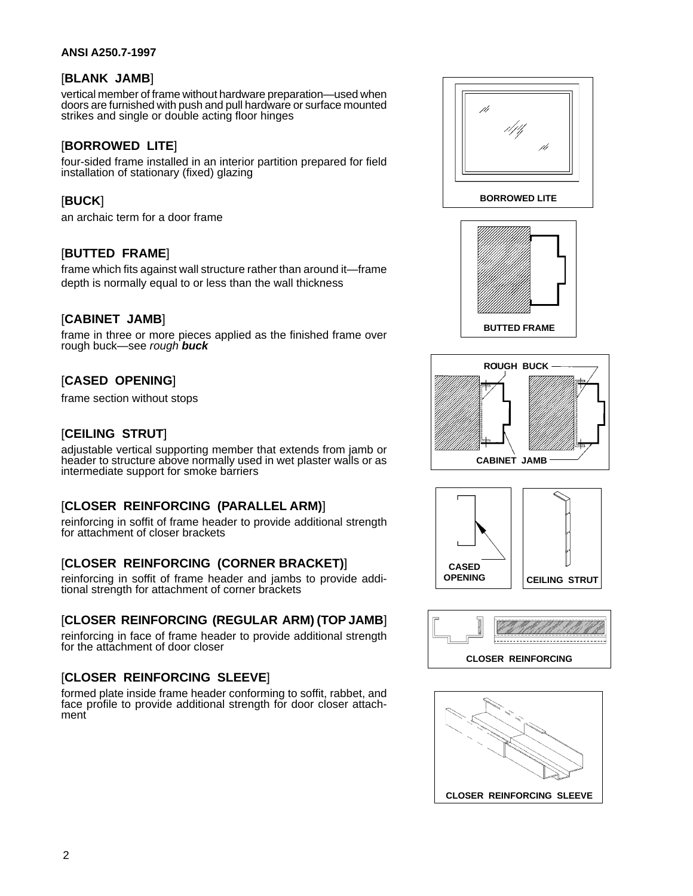#### **ANSI A250.7-1997**

## [**BLANK JAMB**]

vertical member of frame without hardware preparation—used when doors are furnished with push and pull hardware or surface mounted strikes and single or double acting floor hinges

## [**BORROWED LITE**]

four-sided frame installed in an interior partition prepared for field installation of stationary (fixed) glazing

## [**BUCK**]

an archaic term for a door frame

## [**BUTTED FRAME**]

frame which fits against wall structure rather than around it—frame depth is normally equal to or less than the wall thickness

#### [**CABINET JAMB**]

frame in three or more pieces applied as the finished frame over rough buck—see rough **buck**

## [**CASED OPENING**]

frame section without stops

## [**CEILING STRUT**]

adjustable vertical supporting member that extends from jamb or header to structure above normally used in wet plaster walls or as intermediate support for smoke barriers

## [**CLOSER REINFORCING (PARALLEL ARM)**]

reinforcing in soffit of frame header to provide additional strength for attachment of closer brackets

#### [**CLOSER REINFORCING (CORNER BRACKET)**]

reinforcing in soffit of frame header and jambs to provide additional strength for attachment of corner brackets

## [**CLOSER REINFORCING (REGULAR ARM) (TOP JAMB**]

reinforcing in face of frame header to provide additional strength for the attachment of door closer

## [**CLOSER REINFORCING SLEEVE**]

formed plate inside frame header conforming to soffit, rabbet, and face profile to provide additional strength for door closer attachment











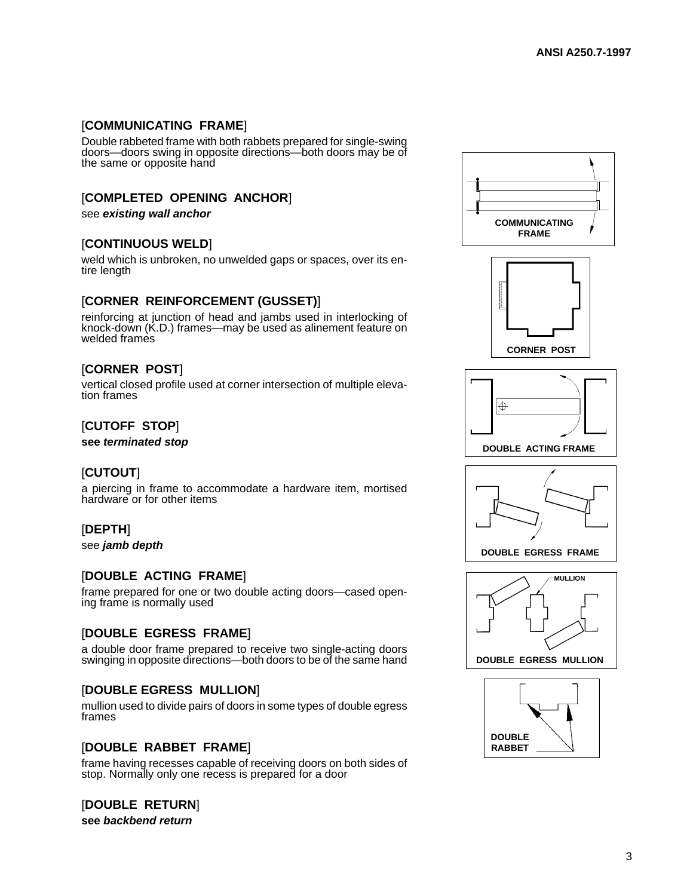## [**COMMUNICATING FRAME**]

Double rabbeted frame with both rabbets prepared for single-swing doors—doors swing in opposite directions—both doors may be of the same or opposite hand

## [**COMPLETED OPENING ANCHOR**]

see **existing wall anchor**

#### [**CONTINUOUS WELD**]

weld which is unbroken, no unwelded gaps or spaces, over its entire length

#### [**CORNER REINFORCEMENT (GUSSET)**]

reinforcing at junction of head and jambs used in interlocking of knock-down (K.D.) frames—may be used as alinement feature on welded frames

#### [**CORNER POST**]

vertical closed profile used at corner intersection of multiple elevation frames

## [**CUTOFF STOP**]

**see terminated stop**

## [**CUTOUT**]

a piercing in frame to accommodate a hardware item, mortised hardware or for other items

#### [**DEPTH**]

see **jamb depth**

#### [**DOUBLE ACTING FRAME**]

frame prepared for one or two double acting doors—cased opening frame is normally used

## [**DOUBLE EGRESS FRAME**]

a double door frame prepared to receive two single-acting doors swinging in opposite directions—both doors to be of the same hand

#### [**DOUBLE EGRESS MULLION**]

mullion used to divide pairs of doors in some types of double egress frames

#### [**DOUBLE RABBET FRAME**]

frame having recesses capable of receiving doors on both sides of stop. Normally only one recess is prepared for a door

#### [**DOUBLE RETURN**]

**see backbend return**











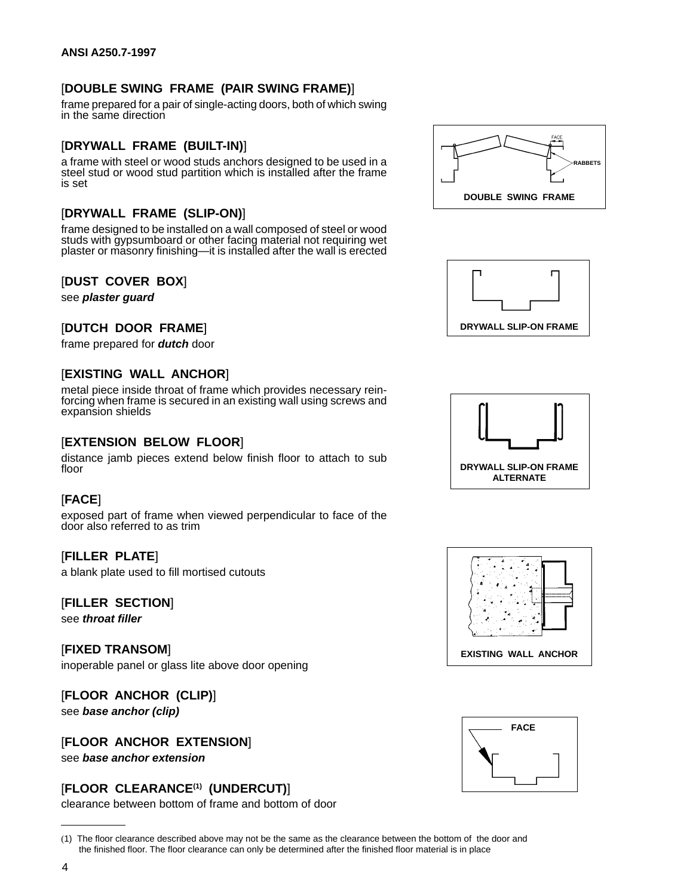## [**DOUBLE SWING FRAME (PAIR SWING FRAME)**]

frame prepared for a pair of single-acting doors, both of which swing in the same direction

#### [**DRYWALL FRAME (BUILT-IN)**]

a frame with steel or wood studs anchors designed to be used in a steel stud or wood stud partition which is installed after the frame is set

#### [**DRYWALL FRAME (SLIP-ON)**]

frame designed to be installed on a wall composed of steel or wood studs with gypsumboard or other facing material not requiring wet plaster or masonry finishing—it is installed after the wall is erected

#### [**DUST COVER BOX**]

see **plaster guard**

#### [**DUTCH DOOR FRAME**]

frame prepared for **dutch** door

#### [**EXISTING WALL ANCHOR**]

metal piece inside throat of frame which provides necessary reinforcing when frame is secured in an existing wall using screws and expansion shields

#### [**EXTENSION BELOW FLOOR**]

distance jamb pieces extend below finish floor to attach to sub floor

#### [**FACE**]

exposed part of frame when viewed perpendicular to face of the door also referred to as trim

#### [**FILLER PLATE**]

a blank plate used to fill mortised cutouts

#### [**FILLER SECTION**]

see **throat filler**

[**FIXED TRANSOM**] inoperable panel or glass lite above door opening

#### [**FLOOR ANCHOR (CLIP)**]

see **base anchor (clip)**

[**FLOOR ANCHOR EXTENSION**]

see **base anchor extension**

## [**FLOOR CLEARANCE(1) (UNDERCUT)**]

clearance between bottom of frame and bottom of door











<sup>(</sup>1) The floor clearance described above may not be the same as the clearance between the bottom of the door and the finished floor. The floor clearance can only be determined after the finished floor material is in place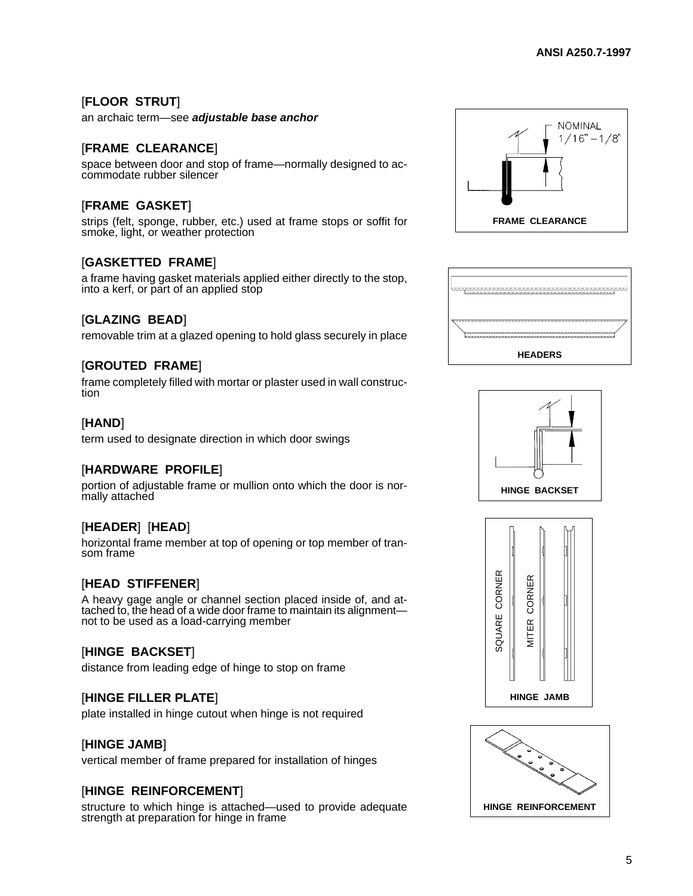## [**FLOOR STRUT**]

an archaic term—see **adjustable base anchor**

#### [**FRAME CLEARANCE**]

space between door and stop of frame—normally designed to accommodate rubber silencer

## [**FRAME GASKET**]

strips (felt, sponge, rubber, etc.) used at frame stops or soffit for smoke, light, or weather protection

#### [**GASKETTED FRAME**]

a frame having gasket materials applied either directly to the stop, into a kerf, or part of an applied stop

#### [**GLAZING BEAD**]

removable trim at a glazed opening to hold glass securely in place

#### [**GROUTED FRAME**]

frame completely filled with mortar or plaster used in wall construction

#### [**HAND**]

term used to designate direction in which door swings

#### [**HARDWARE PROFILE**]

portion of adjustable frame or mullion onto which the door is normally attached

#### [**HEADER**] [**HEAD**]

horizontal frame member at top of opening or top member of transom frame

#### [**HEAD STIFFENER**]

A heavy gage angle or channel section placed inside of, and attached to, the head of a wide door frame to maintain its alignmentnot to be used as a load-carrying member

#### [**HINGE BACKSET**]

distance from leading edge of hinge to stop on frame

#### [**HINGE FILLER PLATE**]

plate installed in hinge cutout when hinge is not required

#### [**HINGE JAMB**]

vertical member of frame prepared for installation of hinges

#### [**HINGE REINFORCEMENT**]

structure to which hinge is attached—used to provide adequate strength at preparation for hinge in frame









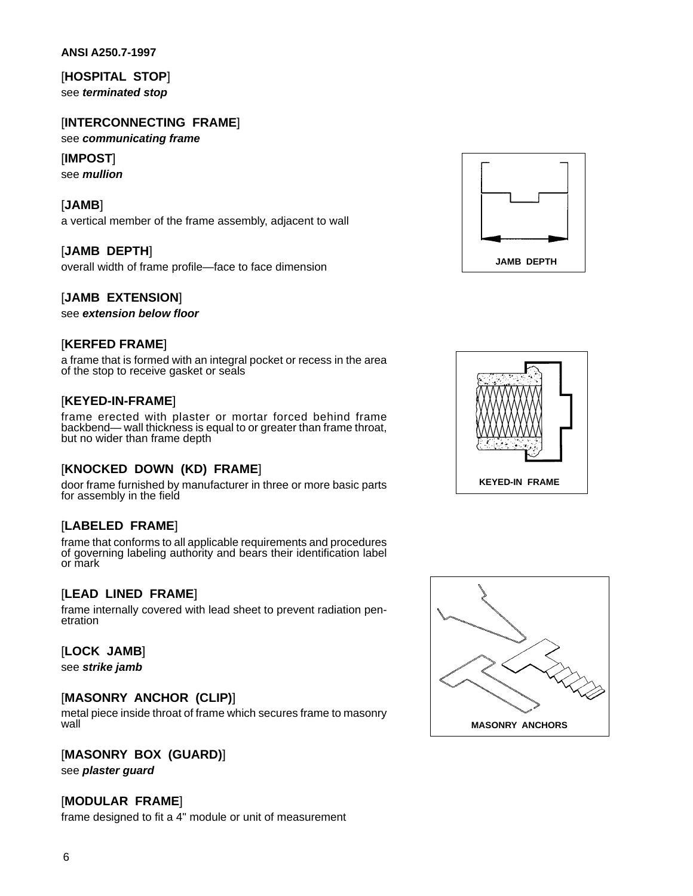#### **ANSI A250.7-1997**

[**HOSPITAL STOP**] see **terminated stop**

## [**INTERCONNECTING FRAME**]

see **communicating frame**

#### [**IMPOST**]

see **mullion**

#### [**JAMB**]

a vertical member of the frame assembly, adjacent to wall

#### [**JAMB DEPTH**]

overall width of frame profile—face to face dimension

#### [**JAMB EXTENSION**]

see **extension below floor**

#### [**KERFED FRAME**]

a frame that is formed with an integral pocket or recess in the area of the stop to receive gasket or seals

#### [**KEYED-IN-FRAME**]

frame erected with plaster or mortar forced behind frame backbend— wall thickness is equal to or greater than frame throat, but no wider than frame depth

#### [**KNOCKED DOWN (KD) FRAME**]

door frame furnished by manufacturer in three or more basic parts for assembly in the field

#### [**LABELED FRAME**]

frame that conforms to all applicable requirements and procedures of governing labeling authority and bears their identification label or mark

#### [**LEAD LINED FRAME**]

frame internally covered with lead sheet to prevent radiation penetration

#### [**LOCK JAMB**]

see **strike jamb**

#### [**MASONRY ANCHOR (CLIP)**]

metal piece inside throat of frame which secures frame to masonry wall

#### [**MASONRY BOX (GUARD)**]

see **plaster guard**

#### [**MODULAR FRAME**]

frame designed to fit a 4" module or unit of measurement





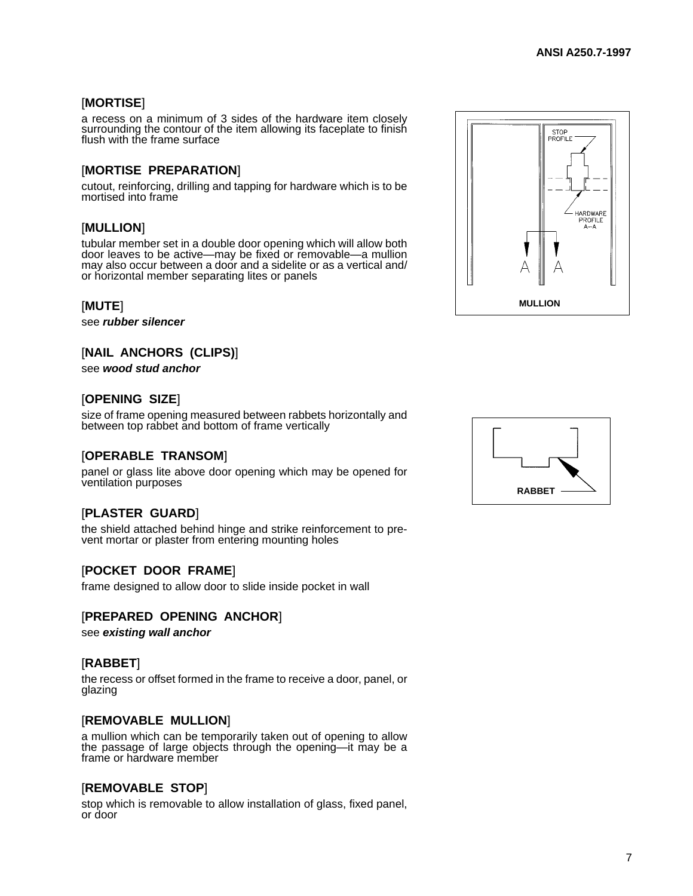## [**MORTISE**]

a recess on a minimum of 3 sides of the hardware item closely surrounding the contour of the item allowing its faceplate to finish flush with the frame surface

## [**MORTISE PREPARATION**]

cutout, reinforcing, drilling and tapping for hardware which is to be mortised into frame

## [**MULLION**]

tubular member set in a double door opening which will allow both door leaves to be active—may be fixed or removable—a mullion may also occur between a door and a sidelite or as a vertical and/ or horizontal member separating lites or panels

#### [**MUTE**]

see **rubber silencer**

## [**NAIL ANCHORS (CLIPS)**]

see **wood stud anchor**

#### [**OPENING SIZE**]

size of frame opening measured between rabbets horizontally and between top rabbet and bottom of frame vertically

#### [**OPERABLE TRANSOM**]

panel or glass lite above door opening which may be opened for ventilation purposes

## [**PLASTER GUARD**]

the shield attached behind hinge and strike reinforcement to prevent mortar or plaster from entering mounting holes

#### [**POCKET DOOR FRAME**]

frame designed to allow door to slide inside pocket in wall

#### [**PREPARED OPENING ANCHOR**]

see **existing wall anchor**

#### [**RABBET**]

the recess or offset formed in the frame to receive a door, panel, or glazing

#### [**REMOVABLE MULLION**]

a mullion which can be temporarily taken out of opening to allow the passage of large objects through the opening—it may be a frame or hardware member

#### [**REMOVABLE STOP**]

stop which is removable to allow installation of glass, fixed panel, or door



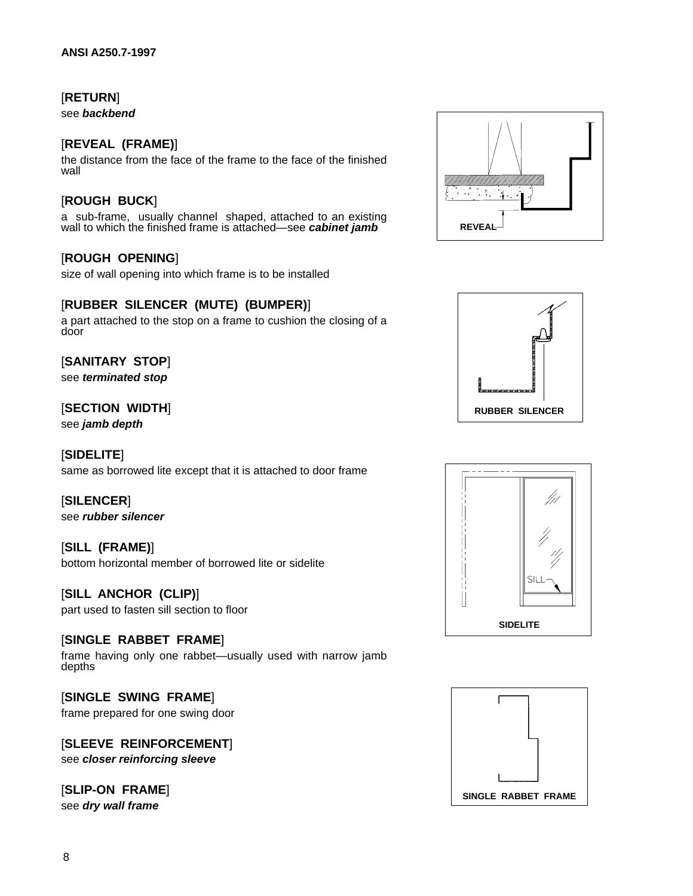## [**RETURN**]

see **backbend**

## [**REVEAL (FRAME)**]

the distance from the face of the frame to the face of the finished wall

## [**ROUGH BUCK**]

a sub-frame, usually channel shaped, attached to an existing wall to which the finished frame is attached—see **cabinet jamb**

## [**ROUGH OPENING**]

size of wall opening into which frame is to be installed

## [**RUBBER SILENCER (MUTE) (BUMPER)**]

a part attached to the stop on a frame to cushion the closing of a door

## [**SANITARY STOP**]

see **terminated stop**

#### [**SECTION WIDTH**]

see **jamb depth**

#### [**SIDELITE**]

same as borrowed lite except that it is attached to door frame

#### [**SILENCER**]

see **rubber silencer**

#### [**SILL (FRAME)**]

bottom horizontal member of borrowed lite or sidelite

#### [**SILL ANCHOR (CLIP)**]

part used to fasten sill section to floor

#### [**SINGLE RABBET FRAME**]

frame having only one rabbet—usually used with narrow jamb depths

#### [**SINGLE SWING FRAME**] frame prepared for one swing door

#### [**SLEEVE REINFORCEMENT**] see **closer reinforcing sleeve**

## [**SLIP-ON FRAME**]

see **dry wall frame**







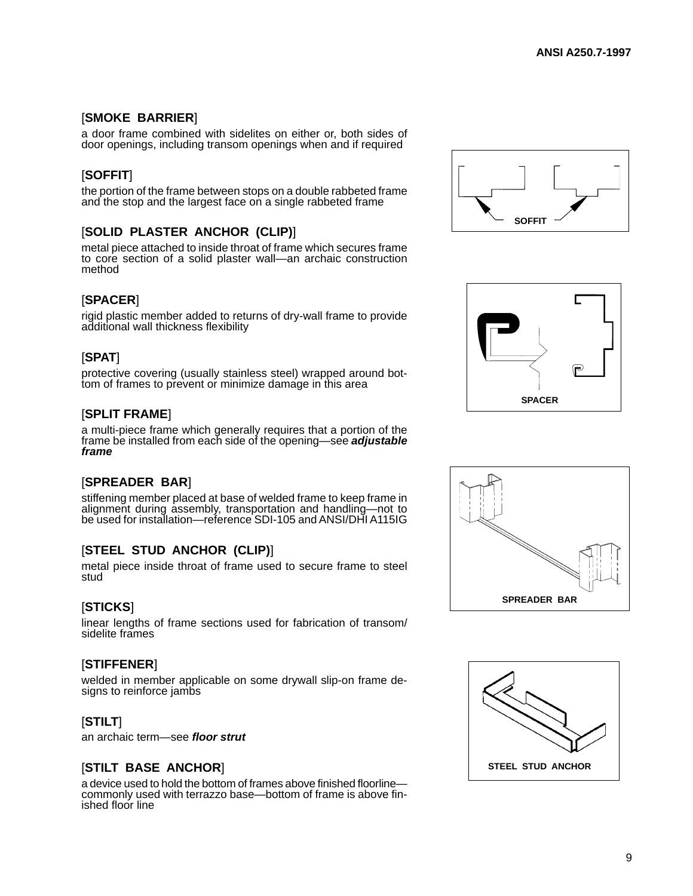## [**SMOKE BARRIER**]

a door frame combined with sidelites on either or, both sides of door openings, including transom openings when and if required

## [**SOFFIT**]

the portion of the frame between stops on a double rabbeted frame and the stop and the largest face on a single rabbeted frame

## [**SOLID PLASTER ANCHOR (CLIP)**]

metal piece attached to inside throat of frame which secures frame to core section of a solid plaster wall—an archaic construction method

## [**SPACER**]

rigid plastic member added to returns of dry-wall frame to provide additional wall thickness flexibility

## [**SPAT**]

protective covering (usually stainless steel) wrapped around bottom of frames to prevent or minimize damage in this area

## [**SPLIT FRAME**]

a multi-piece frame which generally requires that a portion of the frame be installed from each side of the opening—see **adjustable frame**

## [**SPREADER BAR**]

stiffening member placed at base of welded frame to keep frame in alignment during assembly, transportation and handling—not to be used for installation—reference SDI-105 and ANSI/DHI A115IG

## [**STEEL STUD ANCHOR (CLIP)**]

metal piece inside throat of frame used to secure frame to steel stud

#### [**STICKS**]

linear lengths of frame sections used for fabrication of transom/ sidelite frames

#### [**STIFFENER**]

welded in member applicable on some drywall slip-on frame designs to reinforce jambs

#### [**STILT**]

an archaic term—see **floor strut**

#### [**STILT BASE ANCHOR**]

a device used to hold the bottom of frames above finished floorline commonly used with terrazzo base—bottom of frame is above finished floor line







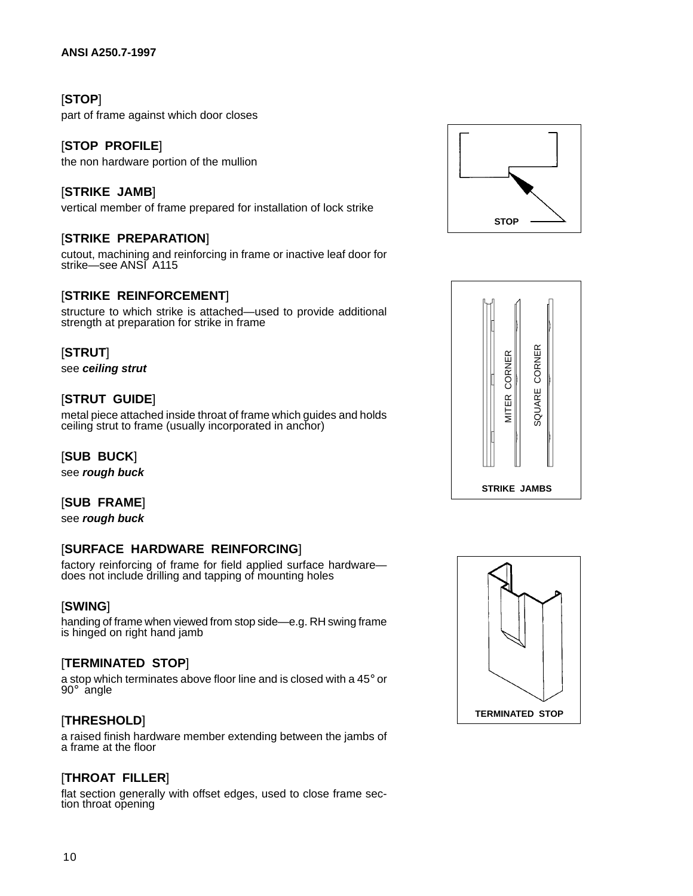## [**STOP**]

part of frame against which door closes

#### [**STOP PROFILE**]

the non hardware portion of the mullion

#### [**STRIKE JAMB**]

vertical member of frame prepared for installation of lock strike

#### [**STRIKE PREPARATION**]

cutout, machining and reinforcing in frame or inactive leaf door for strike—see ANSI A115

#### [**STRIKE REINFORCEMENT**]

structure to which strike is attached—used to provide additional strength at preparation for strike in frame

#### [**STRUT**]

see **ceiling strut**

#### [**STRUT GUIDE**]

metal piece attached inside throat of frame which guides and holds ceiling strut to frame (usually incorporated in anchor)

#### [**SUB BUCK**]

see **rough buck**

#### [**SUB FRAME**]

see **rough buck**

## [**SURFACE HARDWARE REINFORCING**]

factory reinforcing of frame for field applied surface hardware does not include drilling and tapping of mounting holes

#### [**SWING**]

handing of frame when viewed from stop side—e.g. RH swing frame is hinged on right hand jamb

#### [**TERMINATED STOP**]

a stop which terminates above floor line and is closed with a 45° or 90° angle

#### [**THRESHOLD**]

a raised finish hardware member extending between the jambs of a frame at the floor

#### [**THROAT FILLER**]

flat section generally with offset edges, used to close frame section throat opening





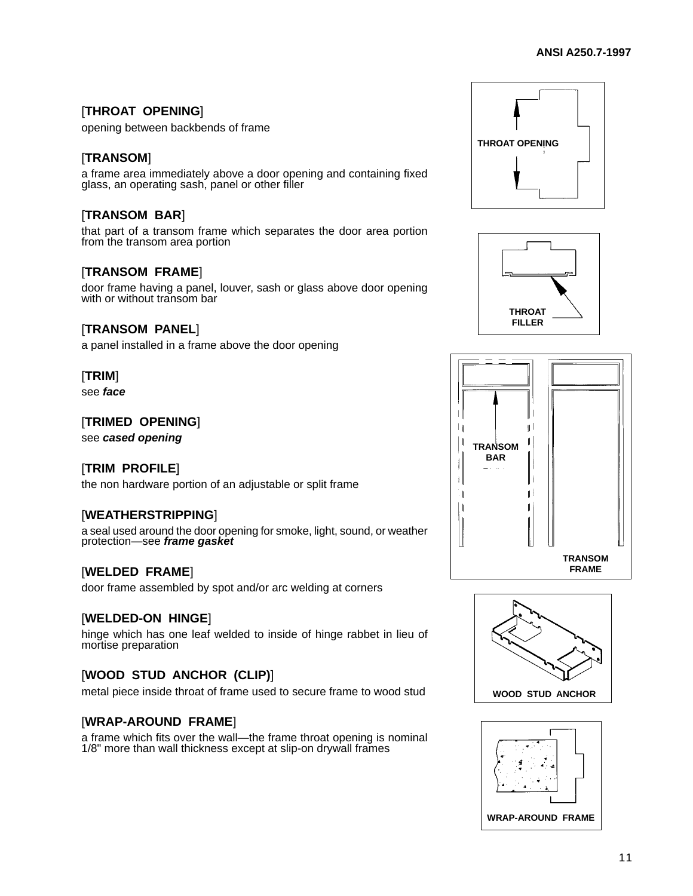## [**THROAT OPENING**]

opening between backbends of frame

## [**TRANSOM**]

a frame area immediately above a door opening and containing fixed glass, an operating sash, panel or other filler

## [**TRANSOM BAR**]

that part of a transom frame which separates the door area portion from the transom area portion

#### [**TRANSOM FRAME**]

door frame having a panel, louver, sash or glass above door opening with or without transom bar

#### [**TRANSOM PANEL**]

a panel installed in a frame above the door opening

#### [**TRIM**]

see **face**

#### [**TRIMED OPENING**]

see **cased opening**

#### [**TRIM PROFILE**]

the non hardware portion of an adjustable or split frame

#### [**WEATHERSTRIPPING**]

a seal used around the door opening for smoke, light, sound, or weather protection—see **frame gasket**

#### [**WELDED FRAME**]

door frame assembled by spot and/or arc welding at corners

#### [**WELDED-ON HINGE**]

hinge which has one leaf welded to inside of hinge rabbet in lieu of mortise preparation

## [**WOOD STUD ANCHOR (CLIP)**]

metal piece inside throat of frame used to secure frame to wood stud

#### [**WRAP-AROUND FRAME**]

a frame which fits over the wall—the frame throat opening is nominal 1/8" more than wall thickness except at slip-on drywall frames









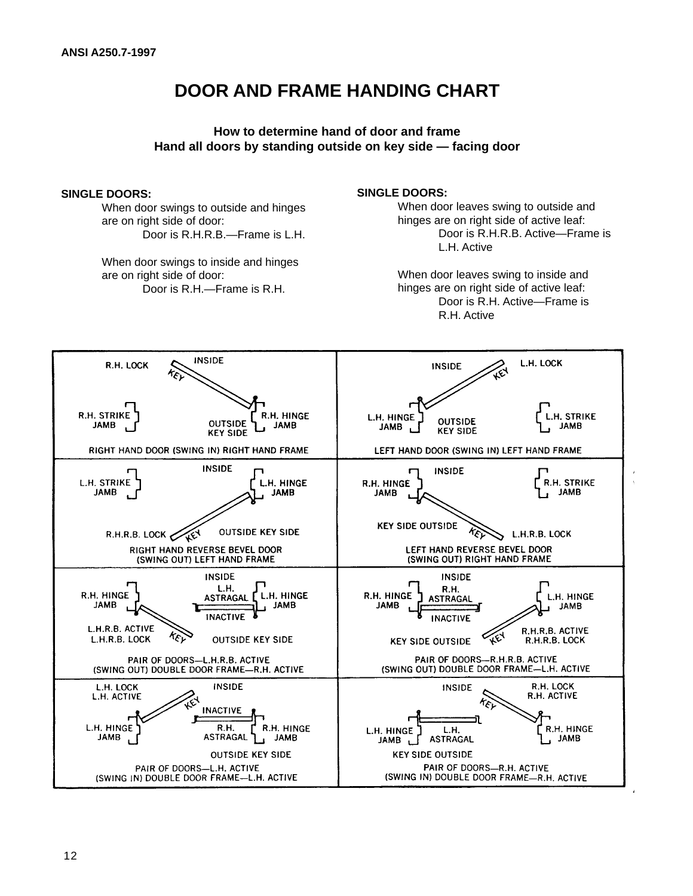# <span id="page-16-0"></span>**DOOR AND FRAME HANDING CHART**

## **How to determine hand of door and frame Hand all doors by standing outside on key side — facing door**

#### **SINGLE DOORS:**

When door swings to outside and hinges are on right side of door: Door is R.H.R.B.—Frame is L.H.

When door swings to inside and hinges are on right side of door: Door is R.H.—Frame is R.H.

#### **SINGLE DOORS:**

When door leaves swing to outside and hinges are on right side of active leaf: Door is R.H.R.B. Active—Frame is L.H. Active

When door leaves swing to inside and hinges are on right side of active leaf: Door is R.H. Active—Frame is R.H. Active

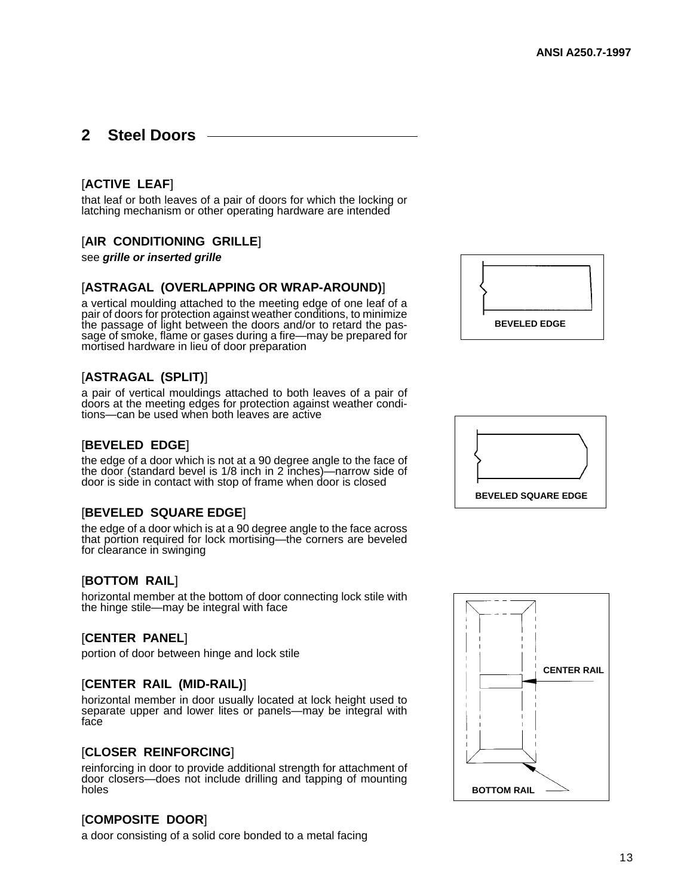## <span id="page-17-0"></span>**2 Steel Doors**

## [**ACTIVE LEAF**]

that leaf or both leaves of a pair of doors for which the locking or latching mechanism or other operating hardware are intended

#### [**AIR CONDITIONING GRILLE**]

see **grille or inserted grille**

#### [**ASTRAGAL (OVERLAPPING OR WRAP-AROUND)**]

a vertical moulding attached to the meeting edge of one leaf of a pair of doors for protection against weather conditions, to minimize the passage of light between the doors and/or to retard the passage of smoke, flame or gases during a fire—may be prepared for mortised hardware in lieu of door preparation

#### [**ASTRAGAL (SPLIT)**]

a pair of vertical mouldings attached to both leaves of a pair of doors at the meeting edges for protection against weather conditions—can be used when both leaves are active

#### [**BEVELED EDGE**]

the edge of a door which is not at a 90 degree angle to the face of the door (standard bevel is 1/8 inch in 2 inches)—narrow side of door is side in contact with stop of frame when door is closed

#### [**BEVELED SQUARE EDGE**]

the edge of a door which is at a 90 degree angle to the face across that portion required for lock mortising—the corners are beveled for clearance in swinging

#### [**BOTTOM RAIL**]

horizontal member at the bottom of door connecting lock stile with the hinge stile—may be integral with face

#### [**CENTER PANEL**]

portion of door between hinge and lock stile

#### [**CENTER RAIL (MID-RAIL)**]

horizontal member in door usually located at lock height used to separate upper and lower lites or panels—may be integral with face

#### [**CLOSER REINFORCING**]

reinforcing in door to provide additional strength for attachment of door closers—does not include drilling and tapping of mounting holes

#### [**COMPOSITE DOOR**]

a door consisting of a solid core bonded to a metal facing





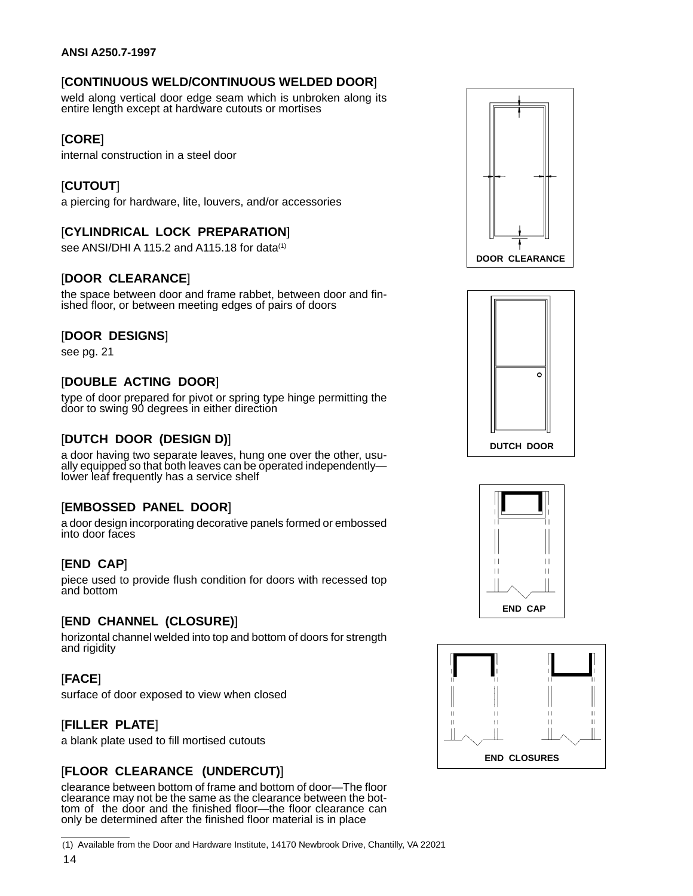## [**CONTINUOUS WELD/CONTINUOUS WELDED DOOR**]

weld along vertical door edge seam which is unbroken along its entire length except at hardware cutouts or mortises

## [**CORE**]

internal construction in a steel door

## [**CUTOUT**]

a piercing for hardware, lite, louvers, and/or accessories

## [**CYLINDRICAL LOCK PREPARATION**]

see ANSI/DHI A 115.2 and A115.18 for data<sup>(1)</sup>

## [**DOOR CLEARANCE**]

the space between door and frame rabbet, between door and finished floor, or between meeting edges of pairs of doors

#### [**DOOR DESIGNS**]

see pg. 21

## [**DOUBLE ACTING DOOR**]

type of door prepared for pivot or spring type hinge permitting the door to swing 90 degrees in either direction

## [**DUTCH DOOR (DESIGN D)**]

a door having two separate leaves, hung one over the other, usually equipped so that both leaves can be operated independently lower leaf frequently has a service shelf

## [**EMBOSSED PANEL DOOR**]

a door design incorporating decorative panels formed or embossed into door faces

## [**END CAP**]

piece used to provide flush condition for doors with recessed top and bottom

#### [**END CHANNEL (CLOSURE)**]

horizontal channel welded into top and bottom of doors for strength and rigidity

## [**FACE**]

surface of door exposed to view when closed

## [**FILLER PLATE**]

a blank plate used to fill mortised cutouts

## [**FLOOR CLEARANCE (UNDERCUT)**]

clearance between bottom of frame and bottom of door—The floor clearance may not be the same as the clearance between the bottom of the door and the finished floor—the floor clearance can only be determined after the finished floor material is in place

(1) Available from the Door and Hardware Institute, 14170 Newbrook Drive, Chantilly, VA 22021







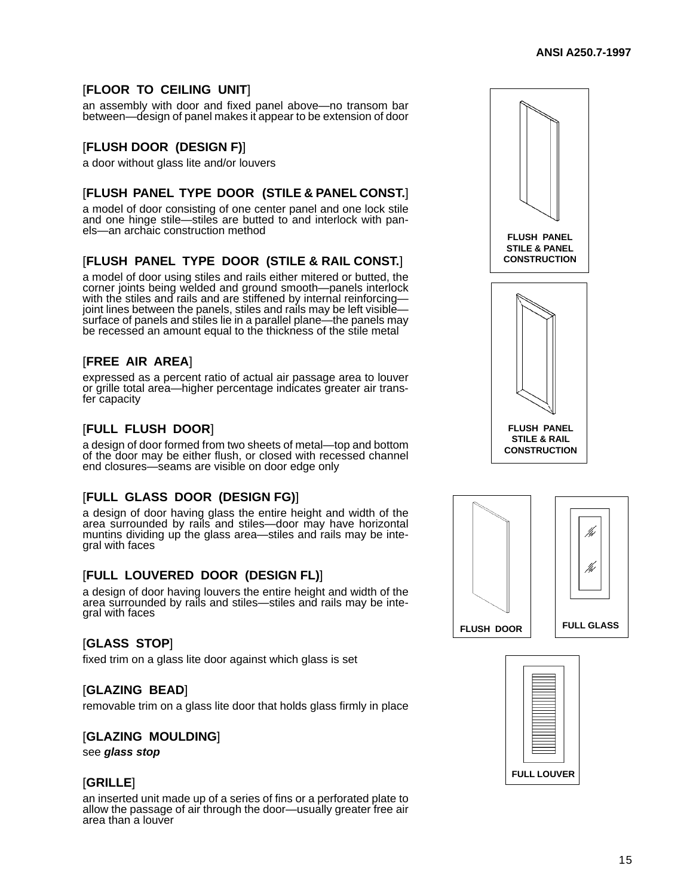## [**FLOOR TO CEILING UNIT**]

an assembly with door and fixed panel above—no transom bar between—design of panel makes it appear to be extension of door

## [**FLUSH DOOR (DESIGN F)**]

a door without glass lite and/or louvers

## [**FLUSH PANEL TYPE DOOR (STILE & PANEL CONST.**]

a model of door consisting of one center panel and one lock stile and one hinge stile—stiles are butted to and interlock with panels—an archaic construction method

## [**FLUSH PANEL TYPE DOOR (STILE & RAIL CONST.**]

a model of door using stiles and rails either mitered or butted, the corner joints being welded and ground smooth—panels interlock with the stiles and rails and are stiffened by internal reinforcingjoint lines between the panels, stiles and rails may be left visible surface of panels and stiles lie in a parallel plane—the panels may be recessed an amount equal to the thickness of the stile metal

## [**FREE AIR AREA**]

expressed as a percent ratio of actual air passage area to louver or grille total area—higher percentage indicates greater air transfer capacity

## [**FULL FLUSH DOOR**]

a design of door formed from two sheets of metal—top and bottom of the door may be either flush, or closed with recessed channel end closures—seams are visible on door edge only

#### [**FULL GLASS DOOR (DESIGN FG)**]

a design of door having glass the entire height and width of the area surrounded by rails and stiles—door may have horizontal muntins dividing up the glass area—stiles and rails may be integral with faces

#### [**FULL LOUVERED DOOR (DESIGN FL)**]

a design of door having louvers the entire height and width of the area surrounded by rails and stiles—stiles and rails may be integral with faces

## [**GLASS STOP**]

fixed trim on a glass lite door against which glass is set

#### [**GLAZING BEAD**]

removable trim on a glass lite door that holds glass firmly in place

#### [**GLAZING MOULDING**]

see **glass stop**

#### [**GRILLE**]

an inserted unit made up of a series of fins or a perforated plate to allow the passage of air through the door—usually greater free air area than a louver





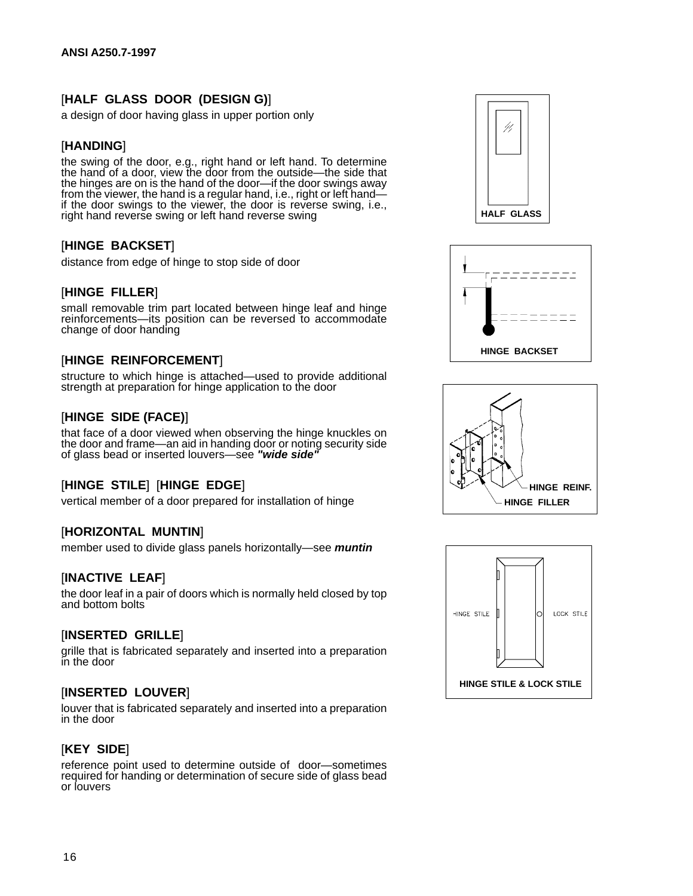## [**HALF GLASS DOOR (DESIGN G)**]

a design of door having glass in upper portion only

#### [**HANDING**]

the swing of the door, e.g., right hand or left hand. To determine the hand of a door, view the door from the outside—the side that the hinges are on is the hand of the door—if the door swings away from the viewer, the hand is a regular hand, i.e., right or left hand if the door swings to the viewer, the door is reverse swing, i.e., right hand reverse swing or left hand reverse swing

## [**HINGE BACKSET**]

distance from edge of hinge to stop side of door

#### [**HINGE FILLER**]

small removable trim part located between hinge leaf and hinge reinforcements—its position can be reversed to accommodate change of door handing

#### [**HINGE REINFORCEMENT**]

structure to which hinge is attached—used to provide additional strength at preparation for hinge application to the door

#### [**HINGE SIDE (FACE)**]

that face of a door viewed when observing the hinge knuckles on the door and frame—an aid in handing door or noting security side of glass bead or inserted louvers—see **"wide side"**

#### [**HINGE STILE**] [**HINGE EDGE**]

vertical member of a door prepared for installation of hinge

#### [**HORIZONTAL MUNTIN**]

member used to divide glass panels horizontally—see **muntin**

#### [**INACTIVE LEAF**]

the door leaf in a pair of doors which is normally held closed by top and bottom bolts

#### [**INSERTED GRILLE**]

grille that is fabricated separately and inserted into a preparation in the door

#### [**INSERTED LOUVER**]

louver that is fabricated separately and inserted into a preparation in the door

#### [**KEY SIDE**]

reference point used to determine outside of door—sometimes required for handing or determination of secure side of glass bead or louvers







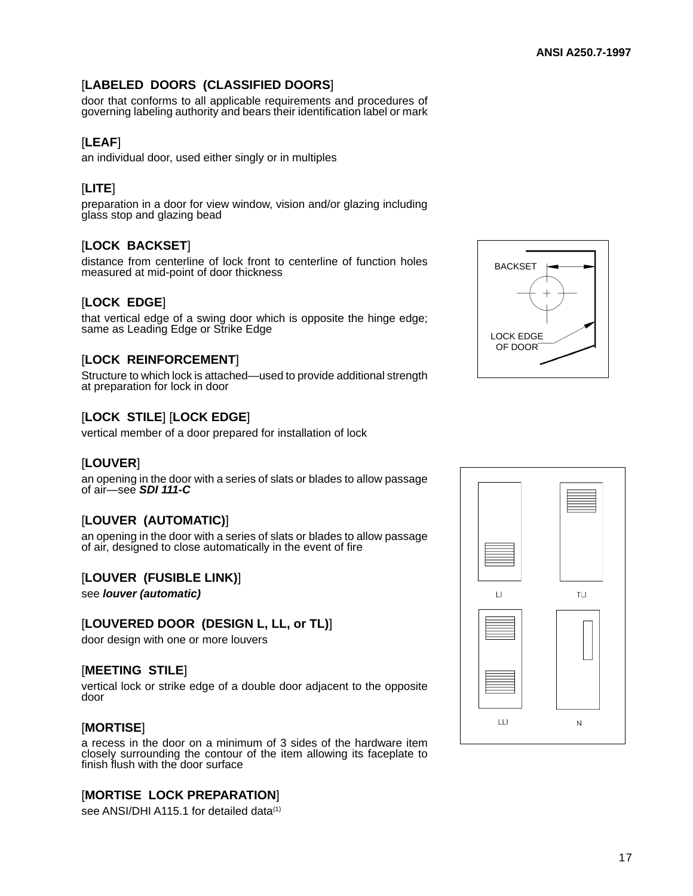## [**LABELED DOORS (CLASSIFIED DOORS**]

door that conforms to all applicable requirements and procedures of governing labeling authority and bears their identification label or mark

## [**LEAF**]

an individual door, used either singly or in multiples

## [**LITE**]

preparation in a door for view window, vision and/or glazing including glass stop and glazing bead

## [**LOCK BACKSET**]

distance from centerline of lock front to centerline of function holes measured at mid-point of door thickness

## [**LOCK EDGE**]

that vertical edge of a swing door which is opposite the hinge edge; same as Leading Edge or Strike Edge

## [**LOCK REINFORCEMENT**]

Structure to which lock is attached—used to provide additional strength at preparation for lock in door

## [**LOCK STILE**] [**LOCK EDGE**]

vertical member of a door prepared for installation of lock

#### [**LOUVER**]

an opening in the door with a series of slats or blades to allow passage of air—see **SDI 111-C**

#### [**LOUVER (AUTOMATIC)**]

an opening in the door with a series of slats or blades to allow passage of air, designed to close automatically in the event of fire

#### [**LOUVER (FUSIBLE LINK)**]

see **louver (automatic)**

#### [**LOUVERED DOOR (DESIGN L, LL, or TL)**]

door design with one or more louvers

#### [**MEETING STILE**]

vertical lock or strike edge of a double door adjacent to the opposite door

#### [**MORTISE**]

a recess in the door on a minimum of 3 sides of the hardware item closely surrounding the contour of the item allowing its faceplate to finish flush with the door surface

#### [**MORTISE LOCK PREPARATION**]

see ANSI/DHI A115.1 for detailed data<sup>(1)</sup>



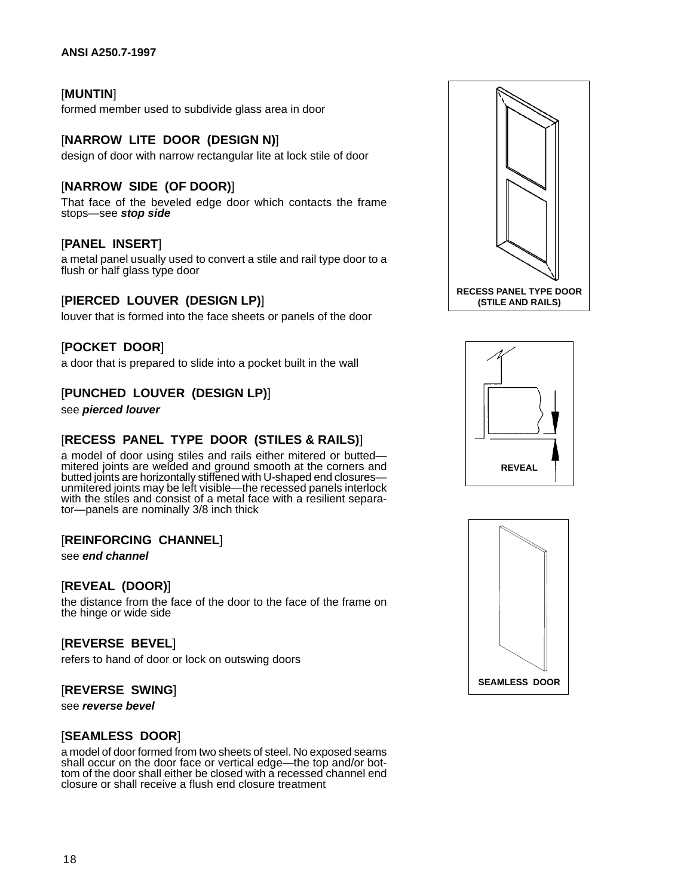#### [**MUNTIN**]

formed member used to subdivide glass area in door

#### [**NARROW LITE DOOR (DESIGN N)**]

design of door with narrow rectangular lite at lock stile of door

#### [**NARROW SIDE (OF DOOR)**]

That face of the beveled edge door which contacts the frame stops—see **stop side**

#### [**PANEL INSERT**]

a metal panel usually used to convert a stile and rail type door to a flush or half glass type door

#### [**PIERCED LOUVER (DESIGN LP)**]

louver that is formed into the face sheets or panels of the door

[**POCKET DOOR**] a door that is prepared to slide into a pocket built in the wall

#### [**PUNCHED LOUVER (DESIGN LP)**]

see **pierced louver**

#### [**RECESS PANEL TYPE DOOR (STILES & RAILS)**]

a model of door using stiles and rails either mitered or butted mitered joints are welded and ground smooth at the corners and butted joints are horizontally stiffened with U-shaped end closures unmitered joints may be left visible—the recessed panels interlock with the stiles and consist of a metal face with a resilient separator—panels are nominally 3/8 inch thick

#### [**REINFORCING CHANNEL**]

see **end channel**

#### [**REVEAL (DOOR)**]

the distance from the face of the door to the face of the frame on the hinge or wide side

#### [**REVERSE BEVEL**]

refers to hand of door or lock on outswing doors

#### [**REVERSE SWING**]

see **reverse bevel**

#### [**SEAMLESS DOOR**]

a model of door formed from two sheets of steel. No exposed seams shall occur on the door face or vertical edge—the top and/or bottom of the door shall either be closed with a recessed channel end closure or shall receive a flush end closure treatment





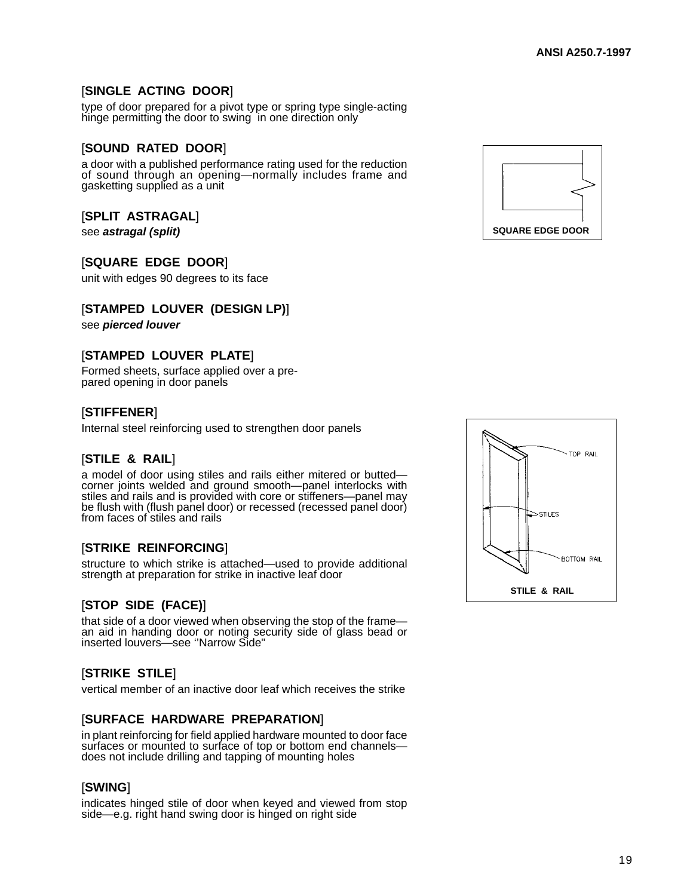## [**SINGLE ACTING DOOR**]

type of door prepared for a pivot type or spring type single-acting hinge permitting the door to swing in one direction only

#### [**SOUND RATED DOOR**]

a door with a published performance rating used for the reduction of sound through an opening—normally includes frame and gasketting supplied as a unit

#### [**SPLIT ASTRAGAL**]

see **astragal (split)**

#### [**SQUARE EDGE DOOR**]

unit with edges 90 degrees to its face

#### [**STAMPED LOUVER (DESIGN LP)**]

see **pierced louver**

#### [**STAMPED LOUVER PLATE**]

Formed sheets, surface applied over a prepared opening in door panels

#### [**STIFFENER**]

Internal steel reinforcing used to strengthen door panels

#### [**STILE & RAIL**]

a model of door using stiles and rails either mitered or butted corner joints welded and ground smooth—panel interlocks with stiles and rails and is provided with core or stiffeners—panel may be flush with (flush panel door) or recessed (recessed panel door) from faces of stiles and rails

#### [**STRIKE REINFORCING**]

structure to which strike is attached—used to provide additional strength at preparation for strike in inactive leaf door

#### [**STOP SIDE (FACE)**]

that side of a door viewed when observing the stop of the frame an aid in handing door or noting security side of glass bead or inserted louvers—see ''Narrow Side"

#### [**STRIKE STILE**]

vertical member of an inactive door leaf which receives the strike

#### [**SURFACE HARDWARE PREPARATION**]

in plant reinforcing for field applied hardware mounted to door face surfaces or mounted to surface of top or bottom end channels does not include drilling and tapping of mounting holes

#### [**SWING**]

indicates hinged stile of door when keyed and viewed from stop side—e.g. right hand swing door is hinged on right side



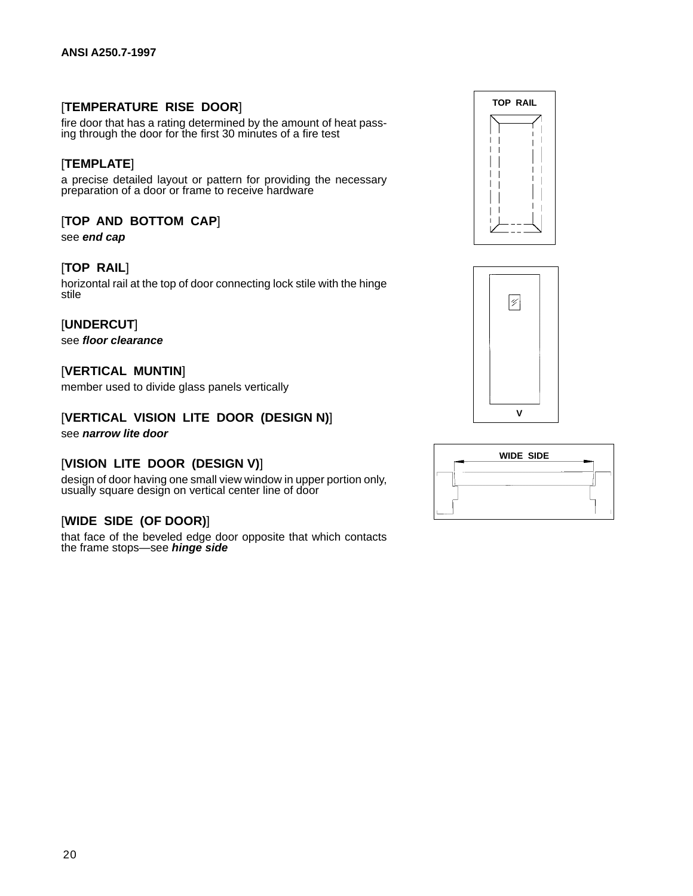#### [**TEMPERATURE RISE DOOR**]

fire door that has a rating determined by the amount of heat passing through the door for the first 30 minutes of a fire test

#### [**TEMPLATE**]

a precise detailed layout or pattern for providing the necessary preparation of a door or frame to receive hardware

#### [**TOP AND BOTTOM CAP**]

see **end cap**

#### [**TOP RAIL**]

horizontal rail at the top of door connecting lock stile with the hinge stile

#### [**UNDERCUT**]

see **floor clearance**

#### [**VERTICAL MUNTIN**]

member used to divide glass panels vertically

#### [**VERTICAL VISION LITE DOOR (DESIGN N)**] see **narrow lite door**

#### [**VISION LITE DOOR (DESIGN V)**]

design of door having one small view window in upper portion only, usually square design on vertical center line of door

#### [**WIDE SIDE (OF DOOR)**]

that face of the beveled edge door opposite that which contacts the frame stops—see **hinge side**





| <b>WIDE SIDE</b> |  |
|------------------|--|
|                  |  |
|                  |  |
|                  |  |